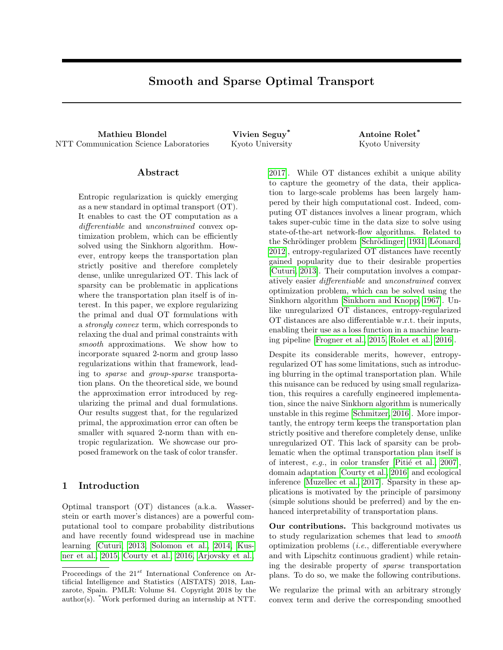# Smooth and Sparse Optimal Transport

Mathieu Blondel **Vivien Seguy<sup>\*</sup>** Antoine Rolet<sup>\*</sup> NTT Communication Science Laboratories Kyoto University Kyoto University

#### Abstract

Entropic regularization is quickly emerging as a new standard in optimal transport (OT). It enables to cast the OT computation as a differentiable and unconstrained convex optimization problem, which can be efficiently solved using the Sinkhorn algorithm. However, entropy keeps the transportation plan strictly positive and therefore completely dense, unlike unregularized OT. This lack of sparsity can be problematic in applications where the transportation plan itself is of interest. In this paper, we explore regularizing the primal and dual OT formulations with a *strongly convex* term, which corresponds to relaxing the dual and primal constraints with smooth approximations. We show how to incorporate squared 2-norm and group lasso regularizations within that framework, leading to sparse and group-sparse transportation plans. On the theoretical side, we bound the approximation error introduced by regularizing the primal and dual formulations. Our results suggest that, for the regularized primal, the approximation error can often be smaller with squared 2-norm than with entropic regularization. We showcase our proposed framework on the task of color transfer.

#### 1 Introduction

Optimal transport (OT) distances (a.k.a. Wasserstein or earth mover's distances) are a powerful computational tool to compare probability distributions and have recently found widespread use in machine learning [\[Cuturi, 2013,](#page-8-0) [Solomon et al., 2014,](#page-9-0) [Kus](#page-9-1)[ner et al., 2015,](#page-9-1) [Courty et al., 2016,](#page-8-1) [Arjovsky et al.,](#page-8-2)

[2017\]](#page-8-2). While OT distances exhibit a unique ability to capture the geometry of the data, their application to large-scale problems has been largely hampered by their high computational cost. Indeed, computing OT distances involves a linear program, which takes super-cubic time in the data size to solve using state-of-the-art network-flow algorithms. Related to the Schrödinger problem [Schrödinger, 1931, Léonard, [2012\]](#page-9-3), entropy-regularized OT distances have recently gained popularity due to their desirable properties [\[Cuturi, 2013\]](#page-8-0). Their computation involves a comparatively easier differentiable and unconstrained convex optimization problem, which can be solved using the Sinkhorn algorithm [\[Sinkhorn and Knopp, 1967\]](#page-9-4). Unlike unregularized OT distances, entropy-regularized OT distances are also differentiable w.r.t. their inputs, enabling their use as a loss function in a machine learning pipeline [\[Frogner et al., 2015,](#page-8-3) [Rolet et al., 2016\]](#page-9-5).

Despite its considerable merits, however, entropyregularized OT has some limitations, such as introducing blurring in the optimal transportation plan. While this nuisance can be reduced by using small regularization, this requires a carefully engineered implementation, since the naive Sinkhorn algorithm is numerically unstable in this regime [\[Schmitzer, 2016\]](#page-9-6). More importantly, the entropy term keeps the transportation plan strictly positive and therefore completely dense, unlike unregularized OT. This lack of sparsity can be problematic when the optimal transportation plan itself is of interest, e.g., in color transfer [Pitié et al., 2007], domain adaptation [\[Courty et al., 2016\]](#page-8-1) and ecological inference [\[Muzellec et al., 2017\]](#page-9-8). Sparsity in these applications is motivated by the principle of parsimony (simple solutions should be preferred) and by the enhanced interpretability of transportation plans.

Our contributions. This background motivates us to study regularization schemes that lead to smooth optimization problems  $(i.e.,$  differentiable everywhere and with Lipschitz continuous gradient) while retaining the desirable property of sparse transportation plans. To do so, we make the following contributions.

We regularize the primal with an arbitrary strongly convex term and derive the corresponding smoothed

Proceedings of the  $21^{st}$  International Conference on Artificial Intelligence and Statistics (AISTATS) 2018, Lanzarote, Spain. PMLR: Volume 84. Copyright 2018 by the author(s). \*Work performed during an internship at NTT.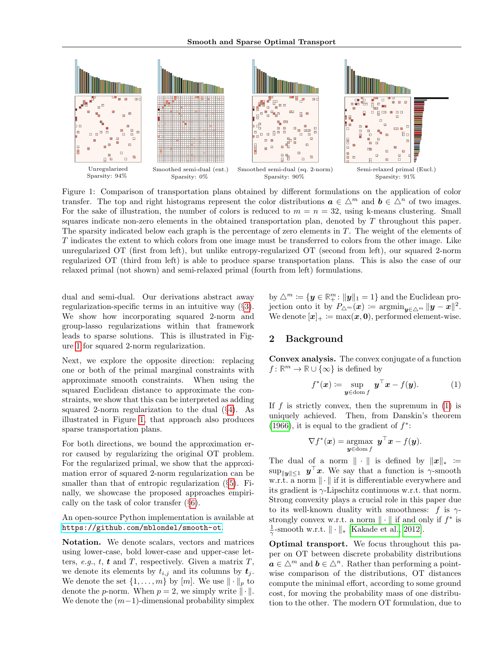

Figure 1: Comparison of transportation plans obtained by different formulations on the application of color transfer. The top and right histograms represent the color distributions  $a \in \Delta^m$  and  $b \in \Delta^n$  of two images. For the sake of illustration, the number of colors is reduced to  $m = n = 32$ , using k-means clustering. Small squares indicate non-zero elements in the obtained transportation plan, denoted by  $T$  throughout this paper. The sparsity indicated below each graph is the percentage of zero elements in T. The weight of the elements of T indicates the extent to which colors from one image must be transferred to colors from the other image. Like unregularized OT (first from left), but unlike entropy-regularized OT (second from left), our squared 2-norm regularized OT (third from left) is able to produce sparse transportation plans. This is also the case of our relaxed primal (not shown) and semi-relaxed primal (fourth from left) formulations.

dual and semi-dual. Our derivations abstract away regularization-specific terms in an intuitive way (§[3\)](#page-2-0). We show how incorporating squared 2-norm and group-lasso regularizations within that framework leads to sparse solutions. This is illustrated in Figure [1](#page-1-0) for squared 2-norm regularization.

Next, we explore the opposite direction: replacing one or both of the primal marginal constraints with approximate smooth constraints. When using the squared Euclidean distance to approximate the constraints, we show that this can be interpreted as adding squared 2-norm regularization to the dual  $(\S4)$  $(\S4)$ . As illustrated in Figure [1,](#page-1-0) that approach also produces sparse transportation plans.

For both directions, we bound the approximation error caused by regularizing the original OT problem. For the regularized primal, we show that the approximation error of squared 2-norm regularization can be smaller than that of entropic regularization (§[5\)](#page-4-1). Finally, we showcase the proposed approaches empirically on the task of color transfer (§[6\)](#page-5-0).

An open-source Python implementation is available at <https://github.com/mblondel/smooth-ot>.

Notation. We denote scalars, vectors and matrices using lower-case, bold lower-case and upper-case letters, e.g., t, t and T, respectively. Given a matrix  $T$ , we denote its elements by  $t_{i,j}$  and its columns by  $t_j$ . We denote the set  $\{1, \ldots, m\}$  by  $[m]$ . We use  $\|\cdot\|_p$  to denote the *p*-norm. When  $p = 2$ , we simply write  $\|\cdot\|$ . We denote the  $(m-1)$ -dimensional probability simplex

<span id="page-1-0"></span>by  $\triangle^m \coloneqq \{ \mathbf{y} \in \mathbb{R}^m_+ : ||\mathbf{y}||_1 = 1 \}$  and the Euclidean projection onto it by  $P_{\Delta^m}(\boldsymbol{x}) := \operatorname{argmin}_{\boldsymbol{y} \in \Delta^m} \|\boldsymbol{y} - \boldsymbol{x}\|^2.$ We denote  $[x]_+ := \max(x, 0)$ , performed element-wise.

# 2 Background

Convex analysis. The convex conjugate of a function  $f: \mathbb{R}^m \to \mathbb{R} \cup {\infty}$  is defined by

<span id="page-1-1"></span>
$$
f^*(\boldsymbol{x}) := \sup_{\boldsymbol{y} \in \text{dom } f} \boldsymbol{y}^\top \boldsymbol{x} - f(\boldsymbol{y}). \tag{1}
$$

If  $f$  is strictly convex, then the supremum in  $(1)$  is uniquely achieved. Then, from Danskin's theorem [\(1966\)](#page-8-4), it is equal to the gradient of  $f^*$ :

$$
\nabla f^*(\boldsymbol{x}) = \operatorname*{argmax}_{\boldsymbol{y} \in \text{dom } f} \boldsymbol{y}^\top \boldsymbol{x} - f(\boldsymbol{y}).
$$

The dual of a norm  $\|\cdot\|$  is defined by  $\|x\|_* :=$  $\sup_{\|\mathbf{y}\| \leq 1}$   $\mathbf{y}^{\top} \mathbf{x}$ . We say that a function is  $\gamma$ -smooth w.r.t. a norm  $\|\cdot\|$  if it is differentiable everywhere and its gradient is  $\gamma$ -Lipschitz continuous w.r.t. that norm. Strong convexity plays a crucial role in this paper due to its well-known duality with smoothness: f is  $\gamma$ strongly convex w.r.t. a norm  $\|\cdot\|$  if and only if  $f^*$  is  $\frac{1}{\gamma}$ -smooth w.r.t.  $\|\cdot\|_*$  [\[Kakade et al., 2012\]](#page-8-5).

Optimal transport. We focus throughout this paper on OT between discrete probability distributions  $a \in \Delta^m$  and  $b \in \Delta^n$ . Rather than performing a pointwise comparison of the distributions, OT distances compute the minimal effort, according to some ground cost, for moving the probability mass of one distribution to the other. The modern OT formulation, due to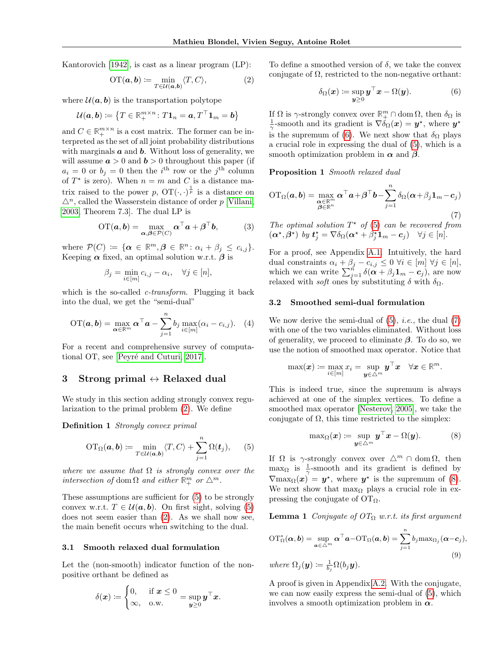Kantorovich [\[1942\]](#page-8-6), is cast as a linear program (LP):

$$
\mathrm{OT}(\boldsymbol{a},\boldsymbol{b}) \coloneqq \min_{T \in \mathcal{U}(\boldsymbol{a},\boldsymbol{b})} \langle T, C \rangle, \tag{2}
$$

where  $\mathcal{U}(\mathbf{a}, \mathbf{b})$  is the transportation polytope

$$
\mathcal{U}(\boldsymbol{a},\boldsymbol{b})\coloneqq\big\{T\in\mathbb{R}_{+}^{m\times n}\colon T\mathbf{1}_{n}=\boldsymbol{a},T^{\top}\mathbf{1}_{m}=\boldsymbol{b}\big\}
$$

and  $C \in \mathbb{R}_+^{m \times n}$  is a cost matrix. The former can be interpreted as the set of all joint probability distributions with marginals  $\boldsymbol{a}$  and  $\boldsymbol{b}$ . Without loss of generality, we will assume  $a > 0$  and  $b > 0$  throughout this paper (if  $a_i = 0$  or  $b_j = 0$  then the *i*<sup>th</sup> row or the *j*<sup>th</sup> column of  $T^*$  is zero). When  $n = m$  and C is a distance matrix raised to the power p,  $OT(\cdot, \cdot)^{\frac{1}{p}}$  is a distance on  $\Delta^n$ , called the Wasserstein distance of order p [\[Villani,](#page-9-9) [2003,](#page-9-9) Theorem 7.3]. The dual LP is

$$
\text{OT}(\boldsymbol{a}, \boldsymbol{b}) = \max_{\boldsymbol{\alpha}, \boldsymbol{\beta} \in \mathcal{P}(C)} \boldsymbol{\alpha}^\top \boldsymbol{a} + \boldsymbol{\beta}^\top \boldsymbol{b},\tag{3}
$$

where  $\mathcal{P}(C) \coloneqq {\alpha \in \mathbb{R}^m, \beta \in \mathbb{R}^n : \alpha_i + \beta_j \leq c_{i,j}}.$ Keeping  $\alpha$  fixed, an optimal solution w.r.t.  $\beta$  is

$$
\beta_j = \min_{i \in [m]} c_{i,j} - \alpha_i, \quad \forall j \in [n],
$$

which is the so-called *c*-transform. Plugging it back into the dual, we get the "semi-dual"

$$
\text{OT}(\boldsymbol{a}, \boldsymbol{b}) = \max_{\boldsymbol{\alpha} \in \mathbb{R}^m} \boldsymbol{\alpha}^\top \boldsymbol{a} - \sum_{j=1}^n b_j \max_{i \in [m]} (\alpha_i - c_{i,j}). \quad (4)
$$

For a recent and comprehensive survey of computational OT, see [Peyré and Cuturi, 2017].

# <span id="page-2-0"></span>3 Strong primal  $\leftrightarrow$  Relaxed dual

We study in this section adding strongly convex regularization to the primal problem [\(2\)](#page-2-1). We define

Definition 1 Strongly convex primal

$$
\mathrm{OT}_{\Omega}(\boldsymbol{a},\boldsymbol{b}) := \min_{T \in \mathcal{U}(\boldsymbol{a},\boldsymbol{b})} \langle T, C \rangle + \sum_{j=1}^n \Omega(\boldsymbol{t}_j), \qquad (5)
$$

where we assume that  $\Omega$  is strongly convex over the intersection of dom  $\Omega$  and either  $\mathbb{R}^m_+$  or  $\triangle^m$ .

These assumptions are sufficient for [\(5\)](#page-2-2) to be strongly convex w.r.t.  $T \in \mathcal{U}(\mathbf{a}, \mathbf{b})$ . On first sight, solving [\(5\)](#page-2-2) does not seem easier than [\(2\)](#page-2-1). As we shall now see, the main benefit occurs when switching to the dual.

#### 3.1 Smooth relaxed dual formulation

Let the (non-smooth) indicator function of the nonpositive orthant be defined as

$$
\delta(\boldsymbol{x}) \coloneqq \begin{cases} 0, & \text{if } \boldsymbol{x} \leq 0 \\ \infty, & \text{o.w.} \end{cases} = \sup_{\boldsymbol{y} \geq 0} \boldsymbol{y}^\top \boldsymbol{x}.
$$

<span id="page-2-1"></span>To define a smoothed version of  $\delta$ , we take the convex conjugate of  $\Omega$ , restricted to the non-negative orthant:

<span id="page-2-4"></span><span id="page-2-3"></span>
$$
\delta_{\Omega}(\boldsymbol{x}) \coloneqq \sup_{\boldsymbol{y} \ge 0} \boldsymbol{y}^{\top} \boldsymbol{x} - \Omega(\boldsymbol{y}). \tag{6}
$$

If  $\Omega$  is  $\gamma$ -strongly convex over  $\mathbb{R}^m_+ \cap \text{dom }\Omega$ , then  $\delta_{\Omega}$  is  $\frac{1}{\gamma}$ -smooth and its gradient is  $\nabla \delta_{\Omega}(\boldsymbol{x}) = \boldsymbol{y}^{\star}$ , where  $\boldsymbol{y}^{\star}$ is the supremum of [\(6\)](#page-2-3). We next show that  $\delta_{\Omega}$  plays a crucial role in expressing the dual of [\(5\)](#page-2-2), which is a smooth optimization problem in  $\alpha$  and  $\beta$ .

Proposition 1 Smooth relaxed dual

$$
\mathrm{OT}_{\Omega}(\boldsymbol{a},\boldsymbol{b}) = \max_{\substack{\boldsymbol{\alpha} \in \mathbb{R}^m \\ \boldsymbol{\beta} \in \mathbb{R}^n}} \boldsymbol{\alpha}^\top \boldsymbol{a} + \boldsymbol{\beta}^\top \boldsymbol{b} - \sum_{j=1}^n \delta_{\Omega}(\boldsymbol{\alpha} + \beta_j \boldsymbol{1}_m - \boldsymbol{c}_j) \tag{7}
$$

The optimal solution  $T^*$  of [\(5\)](#page-2-2) can be recovered from  $(\boldsymbol{\alpha}^*,\boldsymbol{\beta}^*)$  by  $\boldsymbol{t}_j^* = \nabla \delta_{\Omega}(\boldsymbol{\alpha}^* + \beta_j^* \boldsymbol{1}_m - \boldsymbol{c}_j) \quad \forall j \in [n].$ 

For a proof, see Appendix [A.1.](#page--1-0) Intuitively, the hard dual constraints  $\alpha_i + \beta_j - c_{i,j} \leq 0 \ \forall i \in [m] \ \forall j \in [n],$ which we can write  $\sum_{j=1}^{n} \delta(\mathbf{a} + \beta_j \mathbf{1}_m - \mathbf{c}_j)$ , are now relaxed with *soft* ones by substituting  $\delta$  with  $\delta_{\Omega}$ .

#### 3.2 Smoothed semi-dual formulation

<span id="page-2-6"></span>We now derive the semi-dual of  $(5)$ , *i.e.*, the dual  $(7)$ with one of the two variables eliminated. Without loss of generality, we proceed to eliminate  $\beta$ . To do so, we use the notion of smoothed max operator. Notice that

$$
\max(\boldsymbol{x}) \coloneqq \max_{i \in [m]} x_i = \sup_{\boldsymbol{y} \in \triangle^m} \boldsymbol{y}^\top \boldsymbol{x} \quad \forall \boldsymbol{x} \in \mathbb{R}^m.
$$

This is indeed true, since the supremum is always achieved at one of the simplex vertices. To define a smoothed max operator [\[Nesterov, 2005\]](#page-9-11), we take the conjugate of  $\Omega$ , this time restricted to the simplex:

<span id="page-2-5"></span>
$$
\max_{\Omega}(\boldsymbol{x}) \coloneqq \sup_{\boldsymbol{y} \in \triangle^m} \boldsymbol{y}^\top \boldsymbol{x} - \Omega(\boldsymbol{y}). \tag{8}
$$

<span id="page-2-2"></span>If  $\Omega$  is  $\gamma$ -strongly convex over  $\Delta^m \cap \text{dom}\Omega$ , then  $\max_{\Omega}$  is  $\frac{1}{\gamma}$ -smooth and its gradient is defined by  $\nabla$ max<sub>Ω</sub>(x) = y<sup>\*</sup>, where y<sup>\*</sup> is the supremum of [\(8\)](#page-2-5). We next show that  $\max_{\Omega}$  plays a crucial role in expressing the conjugate of  $\mathrm{OT}_\Omega$ .

**Lemma 1** Conjugate of  $OT_{\Omega}$  w.r.t. its first argument

<span id="page-2-7"></span>
$$
OT_{\Omega}^{*}(\boldsymbol{\alpha},\boldsymbol{b}) = \sup_{\boldsymbol{a}\in\Delta^{m}} \boldsymbol{\alpha}^{\top}\boldsymbol{a} - OT_{\Omega}(\boldsymbol{a},\boldsymbol{b}) = \sum_{j=1}^{n} b_{j} \max_{\Omega_{j}} (\boldsymbol{\alpha} - \boldsymbol{c}_{j}),
$$
  
where  $\Omega_{j}(\boldsymbol{y}) \coloneqq \frac{1}{b_{j}} \Omega(b_{j}\boldsymbol{y}).$  (9)

A proof is given in Appendix [A.2.](#page--1-1) With the conjugate, we can now easily express the semi-dual of [\(5\)](#page-2-2), which involves a smooth optimization problem in  $\alpha$ .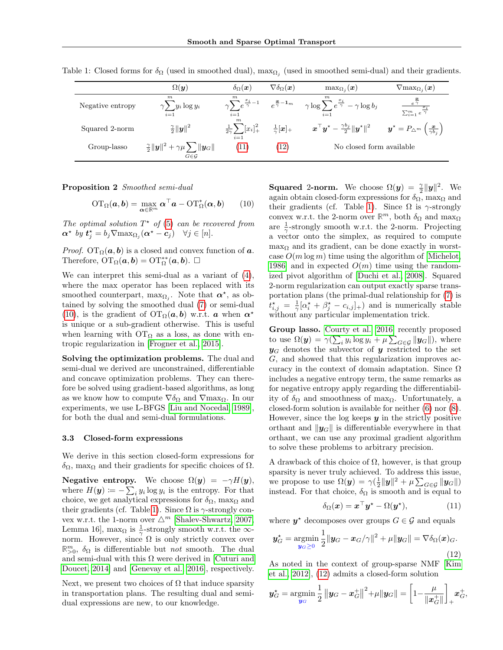|                  | $\Omega(\bm{y})$                                                                                     | $\delta_\Omega(\boldsymbol{x})$                                    | $\nabla \delta_\Omega(\boldsymbol{x})$             | $\max_{\Omega_i}(\bm{x})$                                                                      | $\nabla$ max $_{\Omega_i}(\bm{x})$                                              |
|------------------|------------------------------------------------------------------------------------------------------|--------------------------------------------------------------------|----------------------------------------------------|------------------------------------------------------------------------------------------------|---------------------------------------------------------------------------------|
| Negative entropy | m<br>$\gamma \sum y_i \log y_i$<br>$i=1$                                                             | $\gamma \sum_{i=1}^{n} e^{\frac{x_i}{\gamma}-1}$<br>$i=1$          | $e^{\frac{x}{\gamma}-1_m}$                         | $\gamma \log \sum e^{\frac{x_i}{\gamma}} - \gamma \log b_j$<br>$i=1$                           | $\frac{x_i}{\sum_{i=1}^m e^{\frac{x_i}{\gamma}}}$                               |
| Squared 2-norm   | $\frac{\gamma}{2}  \boldsymbol{y}  ^2$                                                               | $\boldsymbol{m}$<br>$\frac{1}{2\gamma}\sum_{i} [x_i]_+^2$<br>$i=1$ | $\frac{1}{\gamma}$ $\left[\boldsymbol{x}\right]_+$ | $\boldsymbol{x}^{\top}\boldsymbol{y}^{\star}-\frac{\gamma b_j}{2}\ \boldsymbol{y}^{\star}\ ^2$ | $\bm{y}^{\star} = P_{\triangle^{m}} \left( \frac{\bm{x}}{\gamma b_{i}} \right)$ |
| Group-lasso      | $\frac{\gamma}{2}  \boldsymbol{y}  ^2 + \gamma\mu\sum   \boldsymbol{y}_G  ^2$<br>$G \in \mathcal{G}$ | (11)                                                               | (12)                                               | No closed form available                                                                       |                                                                                 |

<span id="page-3-3"></span>Table 1: Closed forms for  $\delta_{\Omega}$  (used in smoothed dual),  $\max_{\Omega_j}$  (used in smoothed semi-dual) and their gradients.

Proposition 2 Smoothed semi-dual

$$
\mathrm{OT}_{\Omega}(\boldsymbol{a},\boldsymbol{b}) = \max_{\boldsymbol{\alpha} \in \mathbb{R}^m} \boldsymbol{\alpha}^\top \boldsymbol{a} - \mathrm{OT}_{\Omega}^*(\boldsymbol{\alpha},\boldsymbol{b}) \qquad (10)
$$

The optimal solution  $T^*$  of [\(5\)](#page-2-2) can be recovered from  $\boldsymbol{\alpha}^{\star}$  by  $\boldsymbol{t}_{j}^{\star} = b_{j} \nabla \max_{\Omega_{j}} (\boldsymbol{\alpha}^{\star} - \boldsymbol{c}_{j}) \quad \forall j \in [n].$ 

*Proof.* OT<sub>Ω</sub>( $a, b$ ) is a closed and convex function of  $a$ . Therefore,  $\overline{\mathrm{OT}}_{\Omega}(\boldsymbol{a},\boldsymbol{b}) = \mathrm{OT}_{\Omega}^{**}(\boldsymbol{a},\boldsymbol{b}).$ 

We can interpret this semi-dual as a variant of [\(4\)](#page-2-6), where the max operator has been replaced with its smoothed counterpart,  $\max_{\Omega_j}$ . Note that  $\alpha^*$ , as obtained by solving the smoothed dual [\(7\)](#page-2-4) or semi-dual [\(10\)](#page-3-2), is the gradient of  $\mathrm{OT}_\Omega(a, b)$  w.r.t. a when  $\alpha^*$ is unique or a sub-gradient otherwise. This is useful when learning with  $OT_\Omega$  as a loss, as done with entropic regularization in [\[Frogner et al., 2015\]](#page-8-3).

Solving the optimization problems. The dual and semi-dual we derived are unconstrained, differentiable and concave optimization problems. They can therefore be solved using gradient-based algorithms, as long as we know how to compute  $\nabla \delta_{\Omega}$  and  $\nabla$ max<sub> $\Omega$ </sub>. In our experiments, we use L-BFGS [\[Liu and Nocedal, 1989\]](#page-9-12), for both the dual and semi-dual formulations.

#### 3.3 Closed-form expressions

We derive in this section closed-form expressions for  $δ<sub>Ω</sub>$ , max<sub>Ω</sub> and their gradients for specific choices of  $Ω$ .

**Negative entropy.** We choose  $\Omega(\mathbf{y}) = -\gamma H(\mathbf{y}),$ where  $H(\mathbf{y}) \coloneqq -\sum_i y_i \log y_i$  is the entropy. For that choice, we get analytical expressions for  $\delta_{\Omega}$ , max<sub> $\Omega$ </sub> and their gradients (cf. Table [1\)](#page-3-3). Since  $\Omega$  is  $\gamma$ -strongly convex w.r.t. the 1-norm over  $\triangle^m$  [\[Shalev-Shwartz, 2007,](#page-9-13) Lemma 16], max<sub> $\Omega$ </sub> is  $\frac{1}{\gamma}$ -strongly smooth w.r.t. the  $\infty$ norm. However, since  $\Omega$  is only strictly convex over  $\mathbb{R}_{>0}^m$ ,  $\delta_{\Omega}$  is differentiable but *not* smooth. The dual and semi-dual with this  $\Omega$  were derived in [\[Cuturi and](#page-8-7) [Doucet, 2014\]](#page-8-7) and [\[Genevay et al., 2016\]](#page-8-8), respectively.

Next, we present two choices of  $\Omega$  that induce sparsity in transportation plans. The resulting dual and semidual expressions are new, to our knowledge.

<span id="page-3-2"></span>**Squared 2-norm.** We choose  $\Omega(\mathbf{y}) = \frac{\gamma}{2} ||\mathbf{y}||^2$ . We again obtain closed-form expressions for  $\delta_{\Omega}$ , max<sub> $\Omega$ </sub> and their gradients (cf. Table [1\)](#page-3-3). Since  $\Omega$  is  $\gamma$ -strongly convex w.r.t. the 2-norm over  $\mathbb{R}^m$ , both  $\delta_{\Omega}$  and  $\max_{\Omega}$ are  $\frac{1}{\gamma}$ -strongly smooth w.r.t. the 2-norm. Projecting a vector onto the simplex, as required to compute  $\max_{\Omega}$  and its gradient, can be done exactly in worstcase  $O(m \log m)$  time using the algorithm of [\[Michelot,](#page-9-14) [1986\]](#page-9-14) and in expected  $O(m)$  time using the randomized pivot algorithm of [\[Duchi et al., 2008\]](#page-8-9). Squared 2-norm regularization can output exactly sparse transportation plans (the primal-dual relationship for [\(7\)](#page-2-4) is  $t_{i,j}^{\star} = \frac{1}{\gamma} [\alpha_i^{\star} + \beta_j^{\star} - c_{i,j}]_{+}$  and is numerically stable without any particular implementation trick.

Group lasso. [Courty et al. \[2016\]](#page-8-1) recently proposed to use  $\Omega(\boldsymbol{y}) = \gamma \left( \sum_i y_i \log y_i + \mu \sum_{G \in \mathcal{G}} ||\boldsymbol{y}_G|| \right)$ , where  $y_G$  denotes the subvector of y restricted to the set G, and showed that this regularization improves accuracy in the context of domain adaptation. Since  $\Omega$ includes a negative entropy term, the same remarks as for negative entropy apply regarding the differentiability of  $\delta_{\Omega}$  and smoothness of max<sub> $\Omega$ </sub>. Unfortunately, a closed-form solution is available for neither [\(6\)](#page-2-3) nor [\(8\)](#page-2-5). However, since the log keeps  $\boldsymbol{\mathit{u}}$  in the strictly positive orthant and  $\|\mathbf{y}_G\|$  is differentiable everywhere in that orthant, we can use any proximal gradient algorithm to solve these problems to arbitrary precision.

A drawback of this choice of  $\Omega$ , however, is that group sparsity is never truly achieved. To address this issue, we propose to use  $\Omega(\mathbf{y}) = \gamma(\frac{1}{2} ||\mathbf{y}||^2 + \mu \sum_{G \in \mathcal{G}} ||\mathbf{y}_G||)$ instead. For that choice,  $\delta_{\Omega}$  is smooth and is equal to

<span id="page-3-1"></span><span id="page-3-0"></span>
$$
\delta_{\Omega}(\boldsymbol{x}) = \boldsymbol{x}^{\top} \boldsymbol{y}^{\star} - \Omega(\boldsymbol{y}^{\star}), \tag{11}
$$

where  $y^*$  decomposes over groups  $G \in \mathcal{G}$  and equals

$$
\boldsymbol{y}_G^* = \operatorname*{argmin}_{\boldsymbol{y}_G \geq 0} \frac{1}{2} \|\boldsymbol{y}_G - \boldsymbol{x}_G / \gamma\|^2 + \mu \|\boldsymbol{y}_G\| = \nabla \delta_\Omega(\boldsymbol{x})_G. \tag{12}
$$

As noted in the context of group-sparse NMF [\[Kim](#page-9-15) [et al., 2012\]](#page-9-15), [\(12\)](#page-3-1) admits a closed-form solution

$$
\bm{y}_G^{\star} = \mathop{\rm argmin}_{\bm{y}_G} \frac{1}{2} \left\| \bm{y}_G - \bm{x}_G^{\star} \right\|^2 + \mu \| \bm{y}_G \| = \left[ 1 - \frac{\mu}{\|\bm{x}_G^{\star}\|} \right]_+ \bm{x}_G^{\star},
$$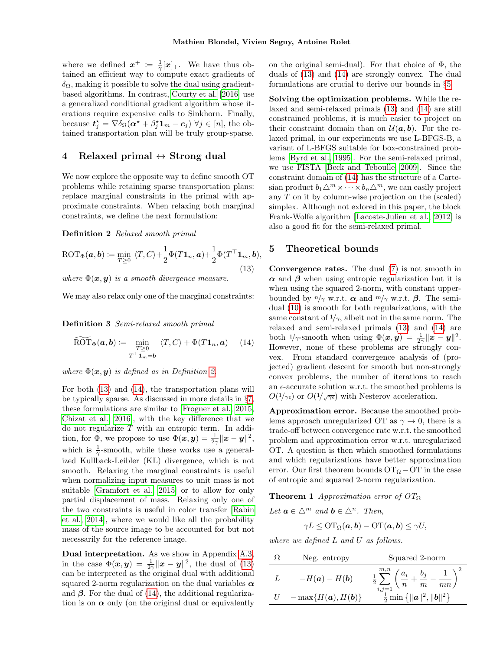where we defined  $x^+ := \frac{1}{\gamma} [x]_+$ . We have thus obtained an efficient way to compute exact gradients of  $\delta_{\Omega}$ , making it possible to solve the dual using gradientbased algorithms. In contrast, [Courty et al. \[2016\]](#page-8-1) use a generalized conditional gradient algorithm whose iterations require expensive calls to Sinkhorn. Finally, because  $t_j^* = \nabla \delta_{\Omega} (\alpha^* + \beta_j^* \mathbf{1}_m - c_j) \ \forall j \in [n],$  the obtained transportation plan will be truly group-sparse.

# <span id="page-4-0"></span>4 Relaxed primal  $\leftrightarrow$  Strong dual

We now explore the opposite way to define smooth OT problems while retaining sparse transportation plans: replace marginal constraints in the primal with approximate constraints. When relaxing both marginal constraints, we define the next formulation:

Definition 2 Relaxed smooth primal

$$
\text{ROT}_{\Phi}(\boldsymbol{a},\boldsymbol{b}) \coloneqq \min_{T \geq 0} \ \langle T, C \rangle + \frac{1}{2} \Phi(T \mathbf{1}_n, \boldsymbol{a}) + \frac{1}{2} \Phi(T^{\top} \mathbf{1}_m, \boldsymbol{b}), \tag{13}
$$

where  $\Phi(x, y)$  is a smooth divergence measure.

We may also relax only one of the marginal constraints:

Definition 3 Semi-relaxed smooth primal

$$
\widetilde{\text{ROT}}_{\Phi}(\boldsymbol{a},\boldsymbol{b}) \coloneqq \min_{\substack{T \geq 0 \\ T^\top \mathbf{1}_m = \boldsymbol{b}}} \langle T, C \rangle + \Phi(T\mathbf{1}_n, \boldsymbol{a}) \qquad (14)
$$

where  $\Phi(\mathbf{x}, \mathbf{y})$  is defined as in Definition [2.](#page-4-2)

For both [\(13\)](#page-4-2) and [\(14\)](#page-4-3), the transportation plans will be typically sparse. As discussed in more details in §[7,](#page-6-0) these formulations are similar to [\[Frogner et al., 2015,](#page-8-3) [Chizat et al., 2016\]](#page-8-10), with the key difference that we do not regularize  $T$  with an entropic term. In addition, for  $\Phi$ , we propose to use  $\Phi(\mathbf{x}, \mathbf{y}) = \frac{1}{2\gamma} ||\mathbf{x} - \mathbf{y}||^2$ , which is  $\frac{1}{\gamma}$ -smooth, while these works use a generalized Kullback-Leibler (KL) divergence, which is not smooth. Relaxing the marginal constraints is useful when normalizing input measures to unit mass is not suitable [\[Gramfort et al., 2015\]](#page-8-11) or to allow for only partial displacement of mass. Relaxing only one of the two constraints is useful in color transfer [\[Rabin](#page-9-16) [et al., 2014\]](#page-9-16), where we would like all the probability mass of the source image to be accounted for but not necessarily for the reference image.

Dual interpretation. As we show in Appendix [A.3,](#page--1-2) in the case  $\Phi(x, y) = \frac{1}{2\gamma} \|x - y\|^2$ , the dual of [\(13\)](#page-4-2) can be interpreted as the original dual with additional squared 2-norm regularization on the dual variables  $\alpha$ and  $\beta$ . For the dual of [\(14\)](#page-4-3), the additional regularization is on  $\alpha$  only (on the original dual or equivalently

on the original semi-dual). For that choice of  $\Phi$ , the duals of [\(13\)](#page-4-2) and [\(14\)](#page-4-3) are strongly convex. The dual formulations are crucial to derive our bounds in §[5.](#page-4-1)

Solving the optimization problems. While the relaxed and semi-relaxed primals [\(13\)](#page-4-2) and [\(14\)](#page-4-3) are still constrained problems, it is much easier to project on their constraint domain than on  $\mathcal{U}(\boldsymbol{a}, \boldsymbol{b})$ . For the relaxed primal, in our experiments we use L-BFGS-B, a variant of L-BFGS suitable for box-constrained problems [\[Byrd et al., 1995\]](#page-8-12). For the semi-relaxed primal, we use FISTA [\[Beck and Teboulle, 2009\]](#page-8-13). Since the constraint domain of [\(14\)](#page-4-3) has the structure of a Cartesian product  $b_1 \triangle^m \times \cdots \times b_n \triangle^m$ , we can easily project any T on it by column-wise projection on the (scaled) simplex. Although not exlored in this paper, the block Frank-Wolfe algorithm [\[Lacoste-Julien et al., 2012\]](#page-9-17) is also a good fit for the semi-relaxed primal.

# <span id="page-4-1"></span>5 Theoretical bounds

<span id="page-4-3"></span><span id="page-4-2"></span>Convergence rates. The dual [\(7\)](#page-2-4) is not smooth in  $\alpha$  and  $\beta$  when using entropic regularization but it is when using the squared 2-norm, with constant upperbounded by  $n/\gamma$  w.r.t.  $\alpha$  and  $m/\gamma$  w.r.t.  $\beta$ . The semidual [\(10\)](#page-3-2) is smooth for both regularizations, with the same constant of  $1/\gamma$ , albeit not in the same norm. The relaxed and semi-relaxed primals [\(13\)](#page-4-2) and [\(14\)](#page-4-3) are both  $1/\gamma$ -smooth when using  $\Phi(\mathbf{x}, \mathbf{y}) = \frac{1}{2\gamma} ||\mathbf{x} - \mathbf{y}||^2$ . However, none of these problems are strongly convex. From standard convergence analysis of (projected) gradient descent for smooth but non-strongly convex problems, the number of iterations to reach an  $\epsilon$ -accurate solution w.r.t. the smoothed problems is  $O(1/\gamma_{\epsilon})$  or  $O(1/\sqrt{\gamma_{\epsilon}})$  with Nesterov acceleration.

Approximation error. Because the smoothed problems approach unregularized OT as  $\gamma \to 0$ , there is a trade-off between convergence rate w.r.t. the smoothed problem and approximation error w.r.t. unregularized OT. A question is then which smoothed formulations and which regularizations have better approximation error. Our first theorem bounds  $OT_\Omega$  – OT in the case of entropic and squared 2-norm regularization.

<span id="page-4-4"></span>**Theorem 1** Approximation error of  $OT<sub>Ω</sub>$ 

Let  $\mathbf{a} \in \Delta^m$  and  $\mathbf{b} \in \Delta^n$ . Then,  $\gamma L \leq \mathrm{OT}_{\Omega}(\boldsymbol{a}, \boldsymbol{b}) - \mathrm{OT}(\boldsymbol{a}, \boldsymbol{b}) \leq \gamma U,$ 

where we defined L and U as follows.

|   | Neg. entropy              | Squared 2-norm                                                                                                                                                   |
|---|---------------------------|------------------------------------------------------------------------------------------------------------------------------------------------------------------|
| L | $-H(a) - H(b)$            | $\frac{1}{2}\sum_{i,j=1}^{m,n}\left(\frac{a_i}{n}+\frac{b_j}{m}-\frac{1}{mn}\right)^2\\ \frac{1}{2}\min\left\{\ \boldsymbol{a}\ ^2,\ \boldsymbol{b}\ ^2\right\}$ |
|   | $U = \max\{H(a), H(b)\}\$ |                                                                                                                                                                  |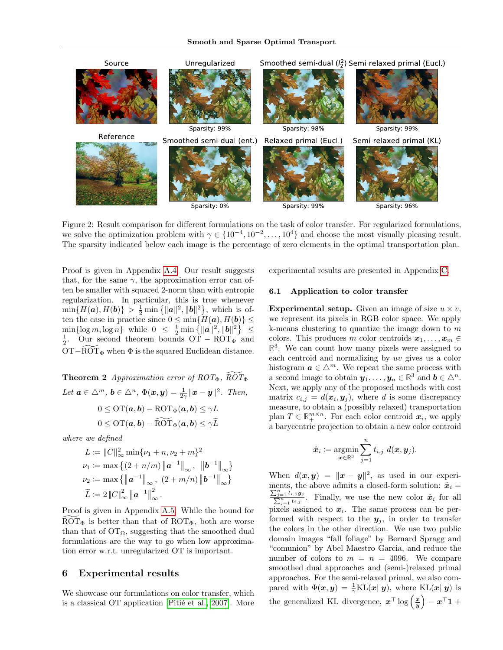

Figure 2: Result comparison for different formulations on the task of color transfer. For regularized formulations, we solve the optimization problem with  $\gamma \in \{10^{-4}, 10^{-2}, \ldots, 10^{4}\}$  and choose the most visually pleasing result. The sparsity indicated below each image is the percentage of zero elements in the optimal transportation plan.

Proof is given in Appendix [A.4.](#page--1-3) Our result suggests that, for the same  $\gamma$ , the approximation error can often be smaller with squared 2-norm than with entropic regularization. In particular, this is true whenever  $\min\{H(\boldsymbol{a}), H(\boldsymbol{b})\} > \frac{1}{2} \min\{\|\boldsymbol{a}\|^2, \|\boldsymbol{b}\|^2\},\$  which is often the case in practice since  $0 \le \min\{H(\boldsymbol{a}),H(\boldsymbol{b})\} \le$  $\min\{\log m, \log n\}$  while  $0 \leq \frac{1}{2} \min\{\|\boldsymbol{a}\|^2, \|\boldsymbol{b}\|^2\} \leq$  $\frac{1}{2}$ . Our second theorem bounds OT – ROT<sub> $\Phi$ </sub> and OT−ROT $_{\Phi}$  when  $\Phi$  is the squared Euclidean distance.

**Theorem 2** Approximation error of  $ROT_{\Phi}$ ,  $\widetilde{ROT}_{\Phi}$ Let  $\boldsymbol{a}\in \triangle^m$ ,  $\boldsymbol{b}\in \triangle^n$ ,  $\Phi(\boldsymbol{x},\boldsymbol{y})=\frac{1}{2\gamma}\|\boldsymbol{x}-\boldsymbol{y}\|^2$ . Then,  $0 \leq \mathrm{OT}(\bm{a}, \bm{b}) - \mathrm{ROT}_{\Phi}(\bm{a}, \bm{b}) \leq \gamma L$  $0 \leq \text{OT}(\boldsymbol{a}, \boldsymbol{b}) - \widetilde{\text{ROT}}_{\Phi}(\boldsymbol{a}, \boldsymbol{b}) \leq \gamma \widetilde{L}$ 

where we defined

$$
L := ||C||_{\infty}^{2} \min \{ \nu_{1} + n, \nu_{2} + m \}^{2}
$$
  
\n
$$
\nu_{1} := \max \left\{ (2 + n/m) ||a^{-1}||_{\infty} , ||b^{-1}||_{\infty} \right\}
$$
  
\n
$$
\nu_{2} := \max \left\{ ||a^{-1}||_{\infty} , (2 + m/n) ||b^{-1}||_{\infty} \right\}
$$
  
\n
$$
\widetilde{L} := 2 ||C||_{\infty}^{2} ||a^{-1}||_{\infty}^{2}.
$$

Proof is given in Appendix [A.5.](#page--1-4) While the bound for  $ROT_{\Phi}$  is better than that of  $ROT_{\Phi}$ , both are worse than that of  $\overline{OT}_\Omega$ , suggesting that the smoothed dual formulations are the way to go when low approximation error w.r.t. unregularized OT is important.

#### <span id="page-5-0"></span>6 Experimental results

We showcase our formulations on color transfer, which is a classical OT application [Pitié et al., 2007]. More

<span id="page-5-1"></span>experimental results are presented in Appendix [C.](#page--1-5)

#### <span id="page-5-2"></span>6.1 Application to color transfer

**Experimental setup.** Given an image of size  $u \times v$ , we represent its pixels in RGB color space. We apply k-means clustering to quantize the image down to  $m$ colors. This produces m color centroids  $x_1, \ldots, x_m \in$  $\mathbb{R}^3$ . We can count how many pixels were assigned to each centroid and normalizing by uv gives us a color histogram  $a \in \Delta^m$ . We repeat the same process with a second image to obtain  $y_1, \ldots, y_n \in \mathbb{R}^3$  and  $b \in \triangle^n$ . Next, we apply any of the proposed methods with cost matrix  $c_{i,j} = d(\boldsymbol{x}_i, \boldsymbol{y}_j)$ , where d is some discrepancy measure, to obtain a (possibly relaxed) transportation plan  $T \in \mathbb{R}_+^{m \times n}$ . For each color centroid  $x_i$ , we apply a barycentric projection to obtain a new color centroid

$$
\hat{\boldsymbol{x}}_i\coloneqq\operatornamewithlimits{argmin}_{\boldsymbol{x}\in\mathbb{R}^3}\sum_{j=1}^n t_{i,j}\,\,d(\boldsymbol{x},\boldsymbol{y}_j).
$$

When  $d(x, y) = ||x - y||^2$ , as used in our experiments, the above admits a closed-form solution:  $\hat{x}_i = \sum_{i=1}^{n} x_i$  $\frac{\sum_{j=1}^{n}}{\sum_{i=1}^{n}}$  $\frac{t_{i,j} y_j}{n_{i,j} t_{i,j}}$ . Finally, we use the new color  $\hat{x}_i$  for all  $_{\text{I}}$   $t_{i,j}$ pixels assigned to  $x_i$ . The same process can be performed with respect to the  $y_i$ , in order to transfer the colors in the other direction. We use two public domain images "fall foliage" by Bernard Spragg and "comunion" by Abel Maestro Garcia, and reduce the number of colors to  $m = n = 4096$ . We compare smoothed dual approaches and (semi-)relaxed primal approaches. For the semi-relaxed primal, we also compared with  $\Phi(\mathbf{x}, \mathbf{y}) = \frac{1}{\gamma} \text{KL}(\mathbf{x} || \mathbf{y})$ , where  $\text{KL}(\mathbf{x} || \mathbf{y})$  is the generalized KL divergence,  $x^{\top} \log \left( \frac{x}{y} \right)$  $- x^{\top} 1 +$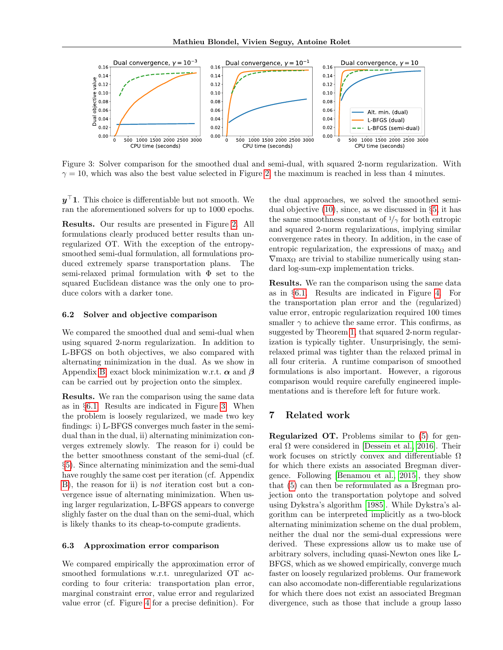

Figure 3: Solver comparison for the smoothed dual and semi-dual, with squared 2-norm regularization. With  $\gamma = 10$ , which was also the best value selected in Figure [2,](#page-5-1) the maximum is reached in less than 4 minutes.

 $y<sup>+</sup>1$ . This choice is differentiable but not smooth. We ran the aforementioned solvers for up to 1000 epochs.

Results. Our results are presented in Figure [2.](#page-5-1) All formulations clearly produced better results than unregularized OT. With the exception of the entropysmoothed semi-dual formulation, all formulations produced extremely sparse transportation plans. The semi-relaxed primal formulation with  $\Phi$  set to the squared Euclidean distance was the only one to produce colors with a darker tone.

#### 6.2 Solver and objective comparison

We compared the smoothed dual and semi-dual when using squared 2-norm regularization. In addition to L-BFGS on both objectives, we also compared with alternating minimization in the dual. As we show in Appendix [B,](#page--1-6) exact block minimization w.r.t.  $\alpha$  and  $\beta$ can be carried out by projection onto the simplex.

Results. We ran the comparison using the same data as in §[6.1.](#page-5-2) Results are indicated in Figure [3.](#page-6-1) When the problem is loosely regularized, we made two key findings: i) L-BFGS converges much faster in the semidual than in the dual, ii) alternating minimization converges extremely slowly. The reason for i) could be the better smoothness constant of the semi-dual (cf. §[5\)](#page-4-1). Since alternating minimization and the semi-dual have roughly the same cost per iteration (cf. Appendix [B\)](#page--1-6), the reason for ii) is *not* iteration cost but a convergence issue of alternating minimization. When using larger regularization, L-BFGS appears to converge slighly faster on the dual than on the semi-dual, which is likely thanks to its cheap-to-compute gradients.

#### 6.3 Approximation error comparison

We compared empirically the approximation error of smoothed formulations w.r.t. unregularized OT according to four criteria: transportation plan error, marginal constraint error, value error and regularized value error (cf. Figure [4](#page-7-0) for a precise definition). For

<span id="page-6-1"></span>the dual approaches, we solved the smoothed semidual objective [\(10\)](#page-3-2), since, as we discussed in §[5,](#page-4-1) it has the same smoothness constant of  $1/\gamma$  for both entropic and squared 2-norm regularizations, implying similar convergence rates in theory. In addition, in the case of entropic regularization, the expressions of max $_{\Omega}$  and  $\nabla$ max<sub> $\Omega$ </sub> are trivial to stabilize numerically using standard log-sum-exp implementation tricks.

Results. We ran the comparison using the same data as in §[6.1.](#page-5-2) Results are indicated in Figure [4.](#page-7-0) For the transportation plan error and the (regularized) value error, entropic regularization required 100 times smaller  $\gamma$  to achieve the same error. This confirms, as suggested by Theorem [1,](#page-4-4) that squared 2-norm regularization is typically tighter. Unsurprisingly, the semirelaxed primal was tighter than the relaxed primal in all four criteria. A runtime comparison of smoothed formulations is also important. However, a rigorous comparison would require carefully engineered implementations and is therefore left for future work.

# <span id="page-6-0"></span>7 Related work

Regularized OT. Problems similar to [\(5\)](#page-2-2) for general  $\Omega$  were considered in [\[Dessein et al., 2016\]](#page-8-14). Their work focuses on strictly convex and differentiable  $\Omega$ for which there exists an associated Bregman divergence. Following [\[Benamou et al., 2015\]](#page-8-15), they show that [\(5\)](#page-2-2) can then be reformulated as a Bregman projection onto the transportation polytope and solved using Dykstra's algorithm [\[1985\]](#page-8-16). While Dykstra's algorithm can be interpreted implicitly as a two-block alternating minimization scheme on the dual problem, neither the dual nor the semi-dual expressions were derived. These expressions allow us to make use of arbitrary solvers, including quasi-Newton ones like L-BFGS, which as we showed empirically, converge much faster on loosely regularized problems. Our framework can also accomodate non-differentiable regularizations for which there does not exist an associated Bregman divergence, such as those that include a group lasso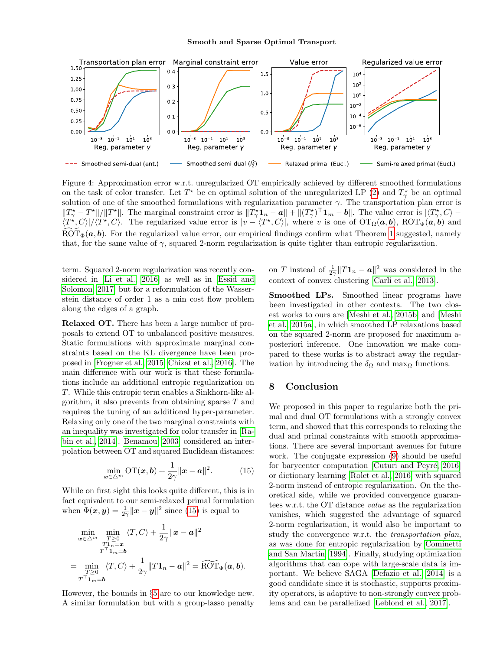

Figure 4: Approximation error w.r.t. unregularized OT empirically achieved by different smoothed formulations on the task of color transfer. Let  $T^*$  be en optimal solution of the unregularized LP [\(2\)](#page-2-1) and  $T^*_{\gamma}$  be an optimal solution of one of the smoothed formulations with regularization parameter  $\gamma$ . The transportation plan error is  $||T^*_{\gamma} - T^*||/||T^*||$ . The marginal constraint error is  $||T^*_{\gamma} \mathbf{1}_n - \boldsymbol{a}|| + ||(T^*_{\gamma})^{\top} \mathbf{1}_m - \boldsymbol{b}||$ . The value error is  $|\langle T^*_{\gamma}, C \rangle \langle T^*, C \rangle | / \langle T^*, C \rangle$ . The regularized value error is  $|v - \langle T^*, C \rangle |$ , where v is one of  $\mathrm{OT}_\Omega(a, b)$ ,  $\mathrm{ROT}_{\Phi}(a, b)$  and  $\widetilde{ROT}_{\Phi}(\boldsymbol{a},\boldsymbol{b})$ . For the regularized value error, our empirical findings confirm what Theorem [1](#page-4-4) suggested, namely that, for the same value of  $\gamma$ , squared 2-norm regularization is quite tighter than entropic regularization.

term. Squared 2-norm regularization was recently considered in [\[Li et al., 2016\]](#page-9-18) as well as in [\[Essid and](#page-8-17) [Solomon, 2017\]](#page-8-17) but for a reformulation of the Wasserstein distance of order 1 as a min cost flow problem along the edges of a graph.

Relaxed OT. There has been a large number of proposals to extend OT to unbalanced positive measures. Static formulations with approximate marginal constraints based on the KL divergence have been proposed in [\[Frogner et al., 2015,](#page-8-3) [Chizat et al., 2016\]](#page-8-10). The main difference with our work is that these formulations include an additional entropic regularization on T. While this entropic term enables a Sinkhorn-like algorithm, it also prevents from obtaining sparse  $T$  and requires the tuning of an additional hyper-parameter. Relaxing only one of the two marginal constraints with an inequality was investigated for color transfer in [\[Ra](#page-9-16)[bin et al., 2014\]](#page-9-16). [Benamou \[2003\]](#page-8-18) considered an interpolation between OT and squared Euclidean distances:

$$
\min_{\boldsymbol{x}\in\triangle^m} \mathrm{OT}(\boldsymbol{x},\boldsymbol{b}) + \frac{1}{2\gamma} \|\boldsymbol{x} - \boldsymbol{a}\|^2. \tag{15}
$$

While on first sight this looks quite different, this is in fact equivalent to our semi-relaxed primal formulation when  $\Phi(\mathbf{x}, \mathbf{y}) = \frac{1}{2\gamma} ||\mathbf{x} - \mathbf{y}||^2$  since [\(15\)](#page-7-1) is equal to

$$
\min_{\substack{\boldsymbol{x}\in\triangle^{m} \\ T^{-1}1n=\boldsymbol{x} \\ T^{-1}1m=\boldsymbol{b} \\ T\geq 0}}\langle T, C\rangle + \frac{1}{2\gamma}\|\boldsymbol{x}-\boldsymbol{a}\|^{2}
$$
\n
$$
= \min_{\substack{T\geq 0 \\ T\geq 0}}\langle T, C\rangle + \frac{1}{2\gamma}\|T\mathbf{1}_{n}-\boldsymbol{a}\|^{2} = \widetilde{\text{ROT}}_{\Phi}(\boldsymbol{a},\boldsymbol{b}).
$$

However, the bounds in §[5](#page-4-1) are to our knowledge new. A similar formulation but with a group-lasso penalty

<span id="page-7-0"></span>on T instead of  $\frac{1}{2\gamma}||T\mathbf{1}_n - \mathbf{a}||^2$  was considered in the context of convex clustering [\[Carli et al., 2013\]](#page-8-19).

Smoothed LPs. Smoothed linear programs have been investigated in other contexts. The two closest works to ours are [\[Meshi et al., 2015b\]](#page-9-19) and [\[Meshi](#page-9-20) [et al., 2015a\]](#page-9-20), in which smoothed LP relaxations based on the squared 2-norm are proposed for maximum aposteriori inference. One innovation we make compared to these works is to abstract away the regularization by introducing the  $\delta_{\Omega}$  and max<sub> $\Omega$ </sub> functions.

### 8 Conclusion

<span id="page-7-1"></span>We proposed in this paper to regularize both the primal and dual OT formulations with a strongly convex term, and showed that this corresponds to relaxing the dual and primal constraints with smooth approximations. There are several important avenues for future work. The conjugate expression [\(9\)](#page-2-7) should be useful for barycenter computation [Cuturi and Peyré, 2016] or dictionary learning [\[Rolet et al., 2016\]](#page-9-5) with squared 2-norm instead of entropic regularization. On the theoretical side, while we provided convergence guarantees w.r.t. the OT distance value as the regularization vanishes, which suggested the advantage of squared 2-norm regularization, it would also be important to study the convergence w.r.t. the transportation plan, as was done for entropic regularization by [Cominetti](#page-8-21) and San Martín [1994]. Finally, studying optimization algorithms that can cope with large-scale data is important. We believe SAGA [\[Defazio et al., 2014\]](#page-8-22) is a good candidate since it is stochastic, supports proximity operators, is adaptive to non-strongly convex problems and can be parallelized [\[Leblond et al., 2017\]](#page-9-21).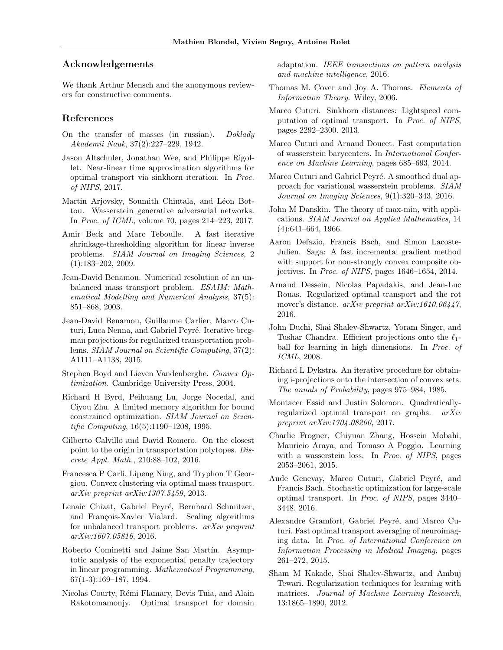# Acknowledgements

We thank Arthur Mensch and the anonymous reviewers for constructive comments.

# References

- <span id="page-8-6"></span>On the transfer of masses (in russian). Doklady Akademii Nauk, 37(2):227–229, 1942.
- Jason Altschuler, Jonathan Wee, and Philippe Rigollet. Near-linear time approximation algorithms for optimal transport via sinkhorn iteration. In Proc. of NIPS, 2017.
- <span id="page-8-2"></span>Martin Arjovsky, Soumith Chintala, and Léon Bottou. Wasserstein generative adversarial networks. In Proc. of ICML, volume 70, pages 214–223, 2017.
- <span id="page-8-13"></span>Amir Beck and Marc Teboulle. A fast iterative shrinkage-thresholding algorithm for linear inverse problems. SIAM Journal on Imaging Sciences, 2  $(1):183-202, 2009.$
- <span id="page-8-18"></span>Jean-David Benamou. Numerical resolution of an unbalanced mass transport problem. ESAIM: Mathematical Modelling and Numerical Analysis, 37(5): 851–868, 2003.
- <span id="page-8-15"></span>Jean-David Benamou, Guillaume Carlier, Marco Cuturi, Luca Nenna, and Gabriel Peyré. Iterative bregman projections for regularized transportation problems. SIAM Journal on Scientific Computing, 37(2): A1111–A1138, 2015.
- Stephen Boyd and Lieven Vandenberghe. Convex Optimization. Cambridge University Press, 2004.
- <span id="page-8-12"></span>Richard H Byrd, Peihuang Lu, Jorge Nocedal, and Ciyou Zhu. A limited memory algorithm for bound constrained optimization. SIAM Journal on Scientific Computing, 16(5):1190–1208, 1995.
- Gilberto Calvillo and David Romero. On the closest point to the origin in transportation polytopes. Discrete Appl. Math., 210:88–102, 2016.
- <span id="page-8-19"></span>Francesca P Carli, Lipeng Ning, and Tryphon T Georgiou. Convex clustering via optimal mass transport. arXiv preprint arXiv:1307.5459, 2013.
- <span id="page-8-10"></span>Lenaic Chizat, Gabriel Peyré, Bernhard Schmitzer, and François-Xavier Vialard. Scaling algorithms for unbalanced transport problems. arXiv preprint arXiv:1607.05816, 2016.
- <span id="page-8-21"></span>Roberto Cominetti and Jaime San Martín. Asymptotic analysis of the exponential penalty trajectory in linear programming. Mathematical Programming, 67(1-3):169–187, 1994.
- <span id="page-8-1"></span>Nicolas Courty, Rémi Flamary, Devis Tuia, and Alain Rakotomamonjy. Optimal transport for domain

adaptation. IEEE transactions on pattern analysis and machine intelligence, 2016.

- Thomas M. Cover and Joy A. Thomas. Elements of Information Theory. Wiley, 2006.
- <span id="page-8-0"></span>Marco Cuturi. Sinkhorn distances: Lightspeed computation of optimal transport. In Proc. of NIPS, pages 2292–2300. 2013.
- <span id="page-8-7"></span>Marco Cuturi and Arnaud Doucet. Fast computation of wasserstein barycenters. In International Conference on Machine Learning, pages 685–693, 2014.
- <span id="page-8-20"></span>Marco Cuturi and Gabriel Peyré. A smoothed dual approach for variational wasserstein problems. SIAM Journal on Imaging Sciences, 9(1):320–343, 2016.
- <span id="page-8-4"></span>John M Danskin. The theory of max-min, with applications. SIAM Journal on Applied Mathematics, 14 (4):641–664, 1966.
- <span id="page-8-22"></span>Aaron Defazio, Francis Bach, and Simon Lacoste-Julien. Saga: A fast incremental gradient method with support for non-strongly convex composite objectives. In Proc. of NIPS, pages 1646–1654, 2014.
- <span id="page-8-14"></span>Arnaud Dessein, Nicolas Papadakis, and Jean-Luc Rouas. Regularized optimal transport and the rot mover's distance. arXiv preprint arXiv:1610.06447, 2016.
- <span id="page-8-9"></span>John Duchi, Shai Shalev-Shwartz, Yoram Singer, and Tushar Chandra. Efficient projections onto the  $\ell_1$ ball for learning in high dimensions. In Proc. of ICML, 2008.
- <span id="page-8-16"></span>Richard L Dykstra. An iterative procedure for obtaining i-projections onto the intersection of convex sets. The annals of Probability, pages 975–984, 1985.
- <span id="page-8-17"></span>Montacer Essid and Justin Solomon. Quadraticallyregularized optimal transport on graphs. arXiv preprint arXiv:1704.08200, 2017.
- <span id="page-8-3"></span>Charlie Frogner, Chiyuan Zhang, Hossein Mobahi, Mauricio Araya, and Tomaso A Poggio. Learning with a wasserstein loss. In Proc. of NIPS, pages 2053–2061, 2015.
- <span id="page-8-8"></span>Aude Genevay, Marco Cuturi, Gabriel Peyré, and Francis Bach. Stochastic optimization for large-scale optimal transport. In Proc. of NIPS, pages 3440– 3448. 2016.
- <span id="page-8-11"></span>Alexandre Gramfort, Gabriel Peyré, and Marco Cuturi. Fast optimal transport averaging of neuroimaging data. In Proc. of International Conference on Information Processing in Medical Imaging, pages 261–272, 2015.
- <span id="page-8-5"></span>Sham M Kakade, Shai Shalev-Shwartz, and Ambuj Tewari. Regularization techniques for learning with matrices. Journal of Machine Learning Research, 13:1865–1890, 2012.